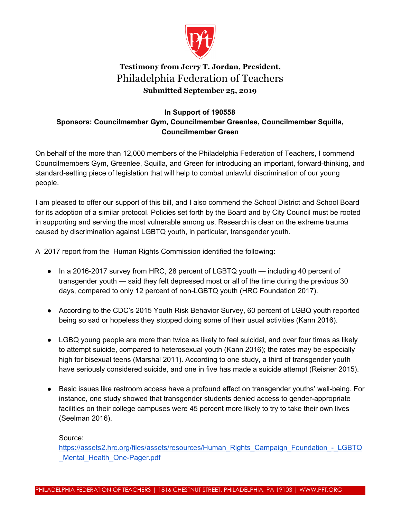

## **Testimony from Jerry T. Jordan, President,** Philadelphia Federation of Teachers **Submitted September 25, 2019**

## **In Support of 190558 Sponsors: Councilmember Gym, Councilmember Greenlee, Councilmember Squilla, Councilmember Green**

On behalf of the more than 12,000 members of the Philadelphia Federation of Teachers, I commend Councilmembers Gym, Greenlee, Squilla, and Green for introducing an important, forward-thinking, and standard-setting piece of legislation that will help to combat unlawful discrimination of our young people.

I am pleased to offer our support of this bill, and I also commend the School District and School Board for its adoption of a similar protocol. Policies set forth by the Board and by City Council must be rooted in supporting and serving the most vulnerable among us. Research is clear on the extreme trauma caused by discrimination against LGBTQ youth, in particular, transgender youth.

A 2017 report from the Human Rights Commission identified the following:

- In a 2016-2017 survey from HRC, 28 percent of LGBTQ youth including 40 percent of transgender youth — said they felt depressed most or all of the time during the previous 30 days, compared to only 12 percent of non-LGBTQ youth (HRC Foundation 2017).
- According to the CDC's 2015 Youth Risk Behavior Survey, 60 percent of LGBQ youth reported being so sad or hopeless they stopped doing some of their usual activities (Kann 2016).
- LGBQ young people are more than twice as likely to feel suicidal, and over four times as likely to attempt suicide, compared to heterosexual youth (Kann 2016); the rates may be especially high for bisexual teens (Marshal 2011). According to one study, a third of transgender youth have seriously considered suicide, and one in five has made a suicide attempt (Reisner 2015).
- Basic issues like restroom access have a profound effect on transgender youths' well-being. For instance, one study showed that transgender students denied access to gender-appropriate facilities on their college campuses were 45 percent more likely to try to take their own lives (Seelman 2016).

Source:

[https://assets2.hrc.org/files/assets/resources/Human\\_Rights\\_Campaign\\_Foundation\\_-\\_LGBTQ](https://assets2.hrc.org/files/assets/resources/Human_Rights_Campaign_Foundation_-_LGBTQ_Mental_Health_One-Pager.pdf) Mental Health One-Pager.pdf